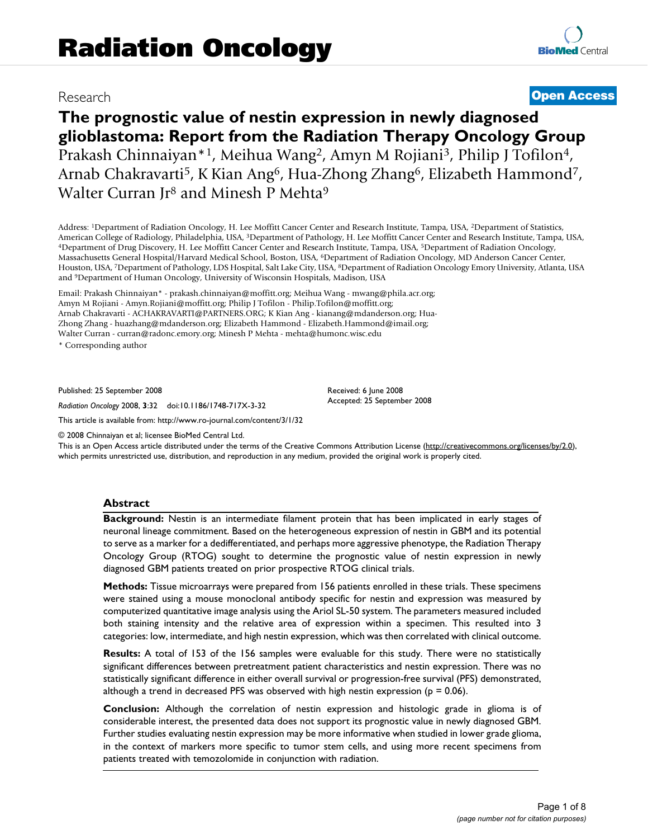## Research **[Open Access](http://www.biomedcentral.com/info/about/charter/)**

# **The prognostic value of nestin expression in newly diagnosed glioblastoma: Report from the Radiation Therapy Oncology Group** Prakash Chinnaiyan\*1, Meihua Wang2, Amyn M Rojiani3, Philip J Tofilon4, Arnab Chakravarti<sup>5</sup>, K Kian Ang<sup>6</sup>, Hua-Zhong Zhang<sup>6</sup>, Elizabeth Hammond<sup>7</sup>, Walter Curran Jr<sup>8</sup> and Minesh P Mehta<sup>9</sup>

Address: 1Department of Radiation Oncology, H. Lee Moffitt Cancer Center and Research Institute, Tampa, USA, 2Department of Statistics, American College of Radiology, Philadelphia, USA, <sup>3</sup>Department of Pathology, H. Lee Moffitt Cancer Center and Research Institute, Tampa, USA, <sup>4</sup>Department of Drug Discovery, H. Lee Moffitt Cancer Center and Research Inst Massachusetts General Hospital/Harvard Medical School, Boston, USA, 6Department of Radiation Oncology, MD Anderson Cancer Center, Houston, USA, 7Department of Pathology, LDS Hospital, Salt Lake City, USA, 8Department of Radiation Oncology Emory University, Atlanta, USA and 9Department of Human Oncology, University of Wisconsin Hospitals, Madison, USA

Email: Prakash Chinnaiyan\* - prakash.chinnaiyan@moffitt.org; Meihua Wang - mwang@phila.acr.org; Amyn M Rojiani - Amyn.Rojiani@moffitt.org; Philip J Tofilon - Philip.Tofilon@moffitt.org; Arnab Chakravarti - ACHAKRAVARTI@PARTNERS.ORG; K Kian Ang - kianang@mdanderson.org; Hua-Zhong Zhang - huazhang@mdanderson.org; Elizabeth Hammond - Elizabeth.Hammond@imail.org; Walter Curran - curran@radonc.emory.org; Minesh P Mehta - mehta@humonc.wisc.edu

\* Corresponding author

Published: 25 September 2008

*Radiation Oncology* 2008, **3**:32 doi:10.1186/1748-717X-3-32

[This article is available from: http://www.ro-journal.com/content/3/1/32](http://www.ro-journal.com/content/3/1/32)

© 2008 Chinnaiyan et al; licensee BioMed Central Ltd.

This is an Open Access article distributed under the terms of the Creative Commons Attribution License [\(http://creativecommons.org/licenses/by/2.0\)](http://creativecommons.org/licenses/by/2.0), which permits unrestricted use, distribution, and reproduction in any medium, provided the original work is properly cited.

Received: 6 June 2008 Accepted: 25 September 2008

## **Abstract**

**Background:** Nestin is an intermediate filament protein that has been implicated in early stages of neuronal lineage commitment. Based on the heterogeneous expression of nestin in GBM and its potential to serve as a marker for a dedifferentiated, and perhaps more aggressive phenotype, the Radiation Therapy Oncology Group (RTOG) sought to determine the prognostic value of nestin expression in newly diagnosed GBM patients treated on prior prospective RTOG clinical trials.

**Methods:** Tissue microarrays were prepared from 156 patients enrolled in these trials. These specimens were stained using a mouse monoclonal antibody specific for nestin and expression was measured by computerized quantitative image analysis using the Ariol SL-50 system. The parameters measured included both staining intensity and the relative area of expression within a specimen. This resulted into 3 categories: low, intermediate, and high nestin expression, which was then correlated with clinical outcome.

**Results:** A total of 153 of the 156 samples were evaluable for this study. There were no statistically significant differences between pretreatment patient characteristics and nestin expression. There was no statistically significant difference in either overall survival or progression-free survival (PFS) demonstrated, although a trend in decreased PFS was observed with high nestin expression ( $p = 0.06$ ).

**Conclusion:** Although the correlation of nestin expression and histologic grade in glioma is of considerable interest, the presented data does not support its prognostic value in newly diagnosed GBM. Further studies evaluating nestin expression may be more informative when studied in lower grade glioma, in the context of markers more specific to tumor stem cells, and using more recent specimens from patients treated with temozolomide in conjunction with radiation.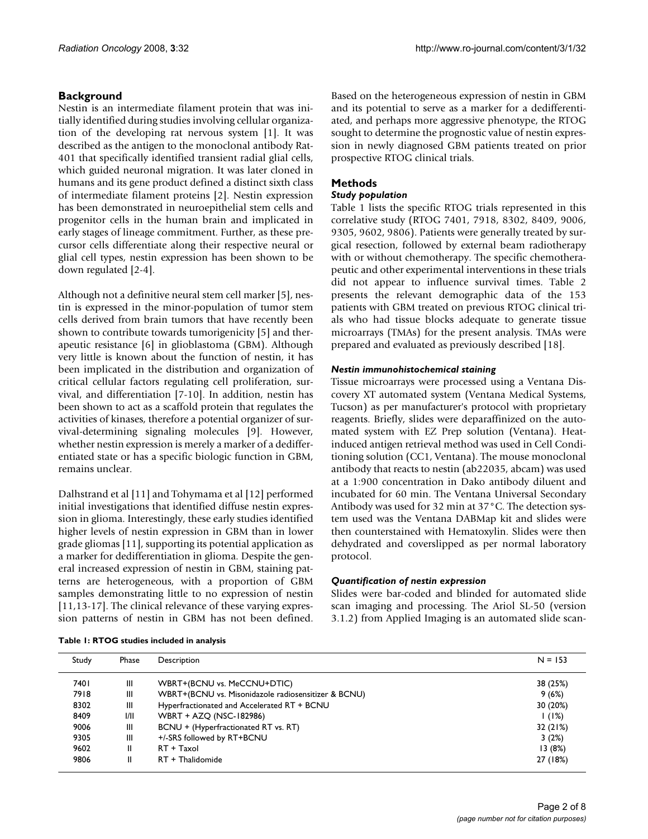## **Background**

Nestin is an intermediate filament protein that was initially identified during studies involving cellular organization of the developing rat nervous system [1]. It was described as the antigen to the monoclonal antibody Rat-401 that specifically identified transient radial glial cells, which guided neuronal migration. It was later cloned in humans and its gene product defined a distinct sixth class of intermediate filament proteins [2]. Nestin expression has been demonstrated in neuroepithelial stem cells and progenitor cells in the human brain and implicated in early stages of lineage commitment. Further, as these precursor cells differentiate along their respective neural or glial cell types, nestin expression has been shown to be down regulated [2-4].

Although not a definitive neural stem cell marker [5], nestin is expressed in the minor-population of tumor stem cells derived from brain tumors that have recently been shown to contribute towards tumorigenicity [5] and therapeutic resistance [6] in glioblastoma (GBM). Although very little is known about the function of nestin, it has been implicated in the distribution and organization of critical cellular factors regulating cell proliferation, survival, and differentiation [7-10]. In addition, nestin has been shown to act as a scaffold protein that regulates the activities of kinases, therefore a potential organizer of survival-determining signaling molecules [9]. However, whether nestin expression is merely a marker of a dedifferentiated state or has a specific biologic function in GBM, remains unclear.

Dalhstrand et al [11] and Tohymama et al [12] performed initial investigations that identified diffuse nestin expression in glioma. Interestingly, these early studies identified higher levels of nestin expression in GBM than in lower grade gliomas [11], supporting its potential application as a marker for dedifferentiation in glioma. Despite the general increased expression of nestin in GBM, staining patterns are heterogeneous, with a proportion of GBM samples demonstrating little to no expression of nestin [11,13-17]. The clinical relevance of these varying expression patterns of nestin in GBM has not been defined. Based on the heterogeneous expression of nestin in GBM and its potential to serve as a marker for a dedifferentiated, and perhaps more aggressive phenotype, the RTOG sought to determine the prognostic value of nestin expression in newly diagnosed GBM patients treated on prior prospective RTOG clinical trials.

## **Methods**

## *Study population*

Table 1 lists the specific RTOG trials represented in this correlative study (RTOG 7401, 7918, 8302, 8409, 9006, 9305, 9602, 9806). Patients were generally treated by surgical resection, followed by external beam radiotherapy with or without chemotherapy. The specific chemotherapeutic and other experimental interventions in these trials did not appear to influence survival times. Table 2 presents the relevant demographic data of the 153 patients with GBM treated on previous RTOG clinical trials who had tissue blocks adequate to generate tissue microarrays (TMAs) for the present analysis. TMAs were prepared and evaluated as previously described [18].

## *Nestin immunohistochemical staining*

Tissue microarrays were processed using a Ventana Discovery XT automated system (Ventana Medical Systems, Tucson) as per manufacturer's protocol with proprietary reagents. Briefly, slides were deparaffinized on the automated system with EZ Prep solution (Ventana). Heatinduced antigen retrieval method was used in Cell Conditioning solution (CC1, Ventana). The mouse monoclonal antibody that reacts to nestin (ab22035, abcam) was used at a 1:900 concentration in Dako antibody diluent and incubated for 60 min. The Ventana Universal Secondary Antibody was used for 32 min at 37°C. The detection system used was the Ventana DABMap kit and slides were then counterstained with Hematoxylin. Slides were then dehydrated and coverslipped as per normal laboratory protocol.

## *Quantification of nestin expression*

Slides were bar-coded and blinded for automated slide scan imaging and processing. The Ariol SL-50 (version 3.1.2) from Applied Imaging is an automated slide scan-

**Table 1: RTOG studies included in analysis**

| Study | Phase | Description                                         | $N = 153$ |
|-------|-------|-----------------------------------------------------|-----------|
| 7401  | Ш     | WBRT+(BCNU vs. MeCCNU+DTIC)                         | 38 (25%)  |
| 7918  | Ш     | WBRT+(BCNU vs. Misonidazole radiosensitizer & BCNU) | 9(6%)     |
| 8302  | Ш     | Hyperfractionated and Accelerated RT + BCNU         | 30 (20%)  |
| 8409  | 1/11  | WBRT + AZQ (NSC-182986)                             | 1(1%)     |
| 9006  | Ш     | BCNU + (Hyperfractionated RT vs. RT)                | 32 (21%)  |
| 9305  | Ш     | +/-SRS followed by RT+BCNU                          | 3(2%)     |
| 9602  | Ш     | RT + Taxol                                          | 13(8%)    |
| 9806  | II    | RT + Thalidomide                                    | 27 (18%)  |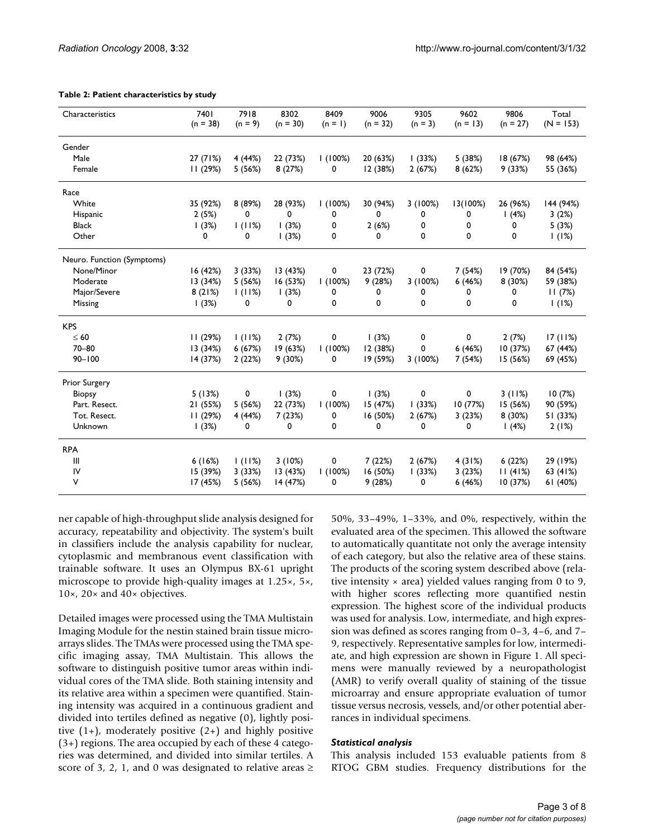| Characteristics            | 7401<br>$(n = 38)$ | 7918<br>$(n = 9)$ | 8302<br>$(n = 30)$ | 8409<br>$(n = 1)$ | 9006<br>$(n = 32)$ | 9305<br>$(n = 3)$ | 9602<br>$(n = 13)$ | 9806<br>$(n = 27)$ | Total<br>$(N = 153)$ |
|----------------------------|--------------------|-------------------|--------------------|-------------------|--------------------|-------------------|--------------------|--------------------|----------------------|
| Gender                     |                    |                   |                    |                   |                    |                   |                    |                    |                      |
| Male                       | 27(71%)            | 4(44%)            | 22 (73%)           | 1(100%)           | 20 (63%)           | (33%)             | 5 (38%)            | 18 (67%)           | 98 (64%)             |
| Female                     | 11(29%)            | 5(56%)            | 8(27%)             | 0                 | 12 (38%)           | 2(67%)            | 8(62%)             | 9(33%)             | 55 (36%)             |
| Race                       |                    |                   |                    |                   |                    |                   |                    |                    |                      |
| White                      | 35 (92%)           | 8 (89%)           | 28 (93%)           | 1(100%)           | 30 (94%)           | 3(100%)           | 13(100%)           | 26 (96%)           | 144 (94%)            |
| Hispanic                   | 2(5%)              | 0                 | 0                  | 0                 | 0                  | 0                 | 0                  | 1(4%)              | 3(2%)                |
| <b>Black</b>               | (3%)               | 1(11%)            | 1(3%)              | 0                 | 2(6%)              | 0                 | 0                  | 0                  | 5(3%)                |
| Other                      | 0                  | 0                 | (3%)               | 0                 | 0                  | 0                 | 0                  | 0                  | 1(1%)                |
| Neuro. Function (Symptoms) |                    |                   |                    |                   |                    |                   |                    |                    |                      |
| None/Minor                 | 16 (42%)           | 3(33%)            | 13(43%)            | 0                 | 23 (72%)           | 0                 | 7 (54%)            | 19 (70%)           | 84 (54%)             |
| Moderate                   | 13(34%)            | 5(56%)            | 16(53%)            | 1(100%)           | 9(28%)             | 3(100%)           | 6(46%)             | 8(30%)             | 59 (38%)             |
| Major/Severe               | 8(21%)             | 1(11%)            | 1(3%)              | 0                 | 0                  | 0                 | 0                  | 0                  | 11(7%)               |
| Missing                    | (3%)               | 0                 | 0                  | 0                 | 0                  | 0                 | 0                  | 0                  | 1(1%)                |
| <b>KPS</b>                 |                    |                   |                    |                   |                    |                   |                    |                    |                      |
| $\leq 60$                  | 11(29%)            | 1(11%)            | 2(7%)              | 0                 | (3%)               | 0                 | 0                  | 2(7%)              | 17(11%)              |
| $70 - 80$                  | 13(34%)            | 6(67%)            | 19(63%)            | 1(100%)           | 12 (38%)           | 0                 | 6(46%)             | 10(37%)            | 67 (44%)             |
| $90 - 100$                 | 14 (37%)           | 2(22%)            | 9(30%)             | 0                 | 19 (59%)           | 3(100%)           | 7 (54%)            | 15 (56%)           | 69 (45%)             |
| Prior Surgery              |                    |                   |                    |                   |                    |                   |                    |                    |                      |
| <b>Biopsy</b>              | 5(13%)             | 0                 | 1(3%)              | 0                 | (3%)               | 0                 | 0                  | 3(11%)             | 10(7%)               |
| Part. Resect.              | 21 (55%)           | 5(56%)            | 22 (73%)           | 1(100%)           | 15 (47%)           | (33%)             | 10(77%)            | 15 (56%)           | 90 (59%)             |
| Tot. Resect.               | 11(29%)            | 4 (44%)           | 7(23%)             | 0                 | 16 (50%)           | 2(67%)            | 3(23%)             | 8(30%)             | 51 (33%)             |
| Unknown                    | 1(3%)              | 0                 | 0                  | 0                 | 0                  | 0                 | 0                  | 1(4%)              | 2(1%)                |
| <b>RPA</b>                 |                    |                   |                    |                   |                    |                   |                    |                    |                      |
| Ш                          | 6(16%)             | 1(11%)            | 3(10%)             | 0                 | 7(22%)             | 2(67%)            | 4(31%)             | 6(22%)             | 29 (19%)             |
| IV                         | 15 (39%)           | 3(33%)            | 13(43%)            | 1(100%)           | 16 (50%)           | (33%)             | 3(23%)             | 11(41%)            | 63 (41%)             |
| ٧                          | 17 (45%)           | 5(56%)            | 14 (47%)           | 0                 | 9(28%)             | 0                 | 6(46%)             | 10(37%)            | 61 (40%)             |

#### **Table 2: Patient characteristics by study**

ner capable of high-throughput slide analysis designed for accuracy, repeatability and objectivity. The system's built in classifiers include the analysis capability for nuclear, cytoplasmic and membranous event classification with trainable software. It uses an Olympus BX-61 upright microscope to provide high-quality images at 1.25×, 5×, 10×, 20× and 40× objectives.

Detailed images were processed using the TMA Multistain Imaging Module for the nestin stained brain tissue microarrays slides. The TMAs were processed using the TMA specific imaging assay, TMA Multistain. This allows the software to distinguish positive tumor areas within individual cores of the TMA slide. Both staining intensity and its relative area within a specimen were quantified. Staining intensity was acquired in a continuous gradient and divided into tertiles defined as negative (0), lightly positive  $(1+)$ , moderately positive  $(2+)$  and highly positive (3+) regions. The area occupied by each of these 4 categories was determined, and divided into similar tertiles. A score of 3, 2, 1, and 0 was designated to relative areas  $\ge$ 

50%, 33–49%, 1–33%, and 0%, respectively, within the evaluated area of the specimen. This allowed the software to automatically quantitate not only the average intensity of each category, but also the relative area of these stains. The products of the scoring system described above (relative intensity  $\times$  area) yielded values ranging from 0 to 9, with higher scores reflecting more quantified nestin expression. The highest score of the individual products was used for analysis. Low, intermediate, and high expression was defined as scores ranging from 0–3, 4–6, and 7– 9, respectively. Representative samples for low, intermediate, and high expression are shown in Figure 1. All specimens were manually reviewed by a neuropathologist (AMR) to verify overall quality of staining of the tissue microarray and ensure appropriate evaluation of tumor tissue versus necrosis, vessels, and/or other potential aberrances in individual specimens.

## *Statistical analysis*

This analysis included 153 evaluable patients from 8 RTOG GBM studies. Frequency distributions for the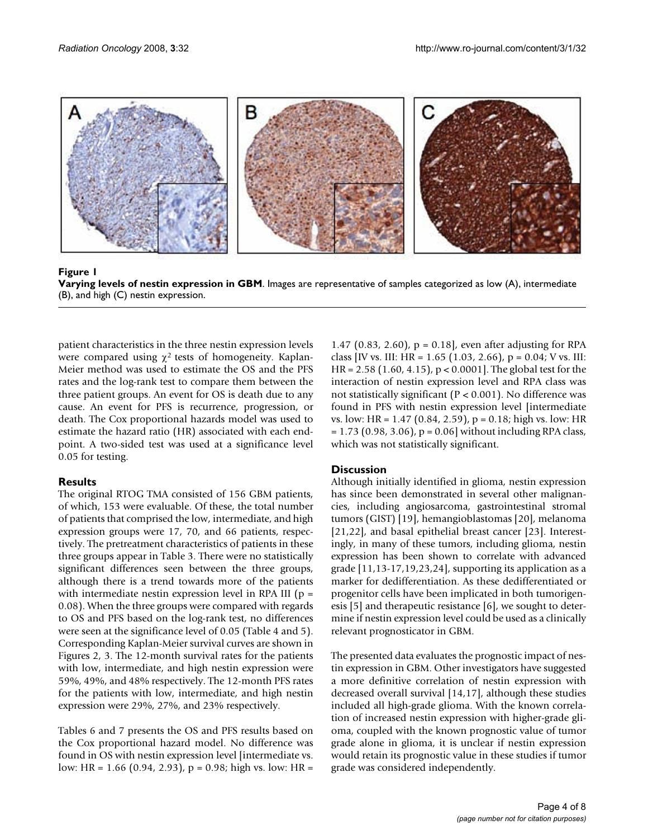

**Figure 1 Varying levels of nestin expression in GBM**. Images are representative of samples categorized as low (A), intermediate (B), and high (C) nestin expression.

patient characteristics in the three nestin expression levels were compared using  $\chi^2$  tests of homogeneity. Kaplan-Meier method was used to estimate the OS and the PFS rates and the log-rank test to compare them between the three patient groups. An event for OS is death due to any cause. An event for PFS is recurrence, progression, or death. The Cox proportional hazards model was used to estimate the hazard ratio (HR) associated with each endpoint. A two-sided test was used at a significance level 0.05 for testing.

## **Results**

The original RTOG TMA consisted of 156 GBM patients, of which, 153 were evaluable. Of these, the total number of patients that comprised the low, intermediate, and high expression groups were 17, 70, and 66 patients, respectively. The pretreatment characteristics of patients in these three groups appear in Table 3. There were no statistically significant differences seen between the three groups, although there is a trend towards more of the patients with intermediate nestin expression level in RPA III ( $p =$ 0.08). When the three groups were compared with regards to OS and PFS based on the log-rank test, no differences were seen at the significance level of 0.05 (Table 4 and 5). Corresponding Kaplan-Meier survival curves are shown in Figures 2, 3. The 12-month survival rates for the patients with low, intermediate, and high nestin expression were 59%, 49%, and 48% respectively. The 12-month PFS rates for the patients with low, intermediate, and high nestin expression were 29%, 27%, and 23% respectively.

Tables 6 and 7 presents the OS and PFS results based on the Cox proportional hazard model. No difference was found in OS with nestin expression level [intermediate vs. low: HR = 1.66 (0.94, 2.93), p = 0.98; high vs. low: HR =

1.47 (0.83, 2.60), p = 0.18], even after adjusting for RPA class [IV vs. III: HR =  $1.65$  (1.03, 2.66), p = 0.04; V vs. III: HR = 2.58 (1.60, 4.15), p < 0.0001]. The global test for the interaction of nestin expression level and RPA class was not statistically significant (P < 0.001). No difference was found in PFS with nestin expression level [intermediate vs. low: HR = 1.47 (0.84, 2.59), p = 0.18; high vs. low: HR  $= 1.73$  (0.98, 3.06),  $p = 0.06$ ] without including RPA class, which was not statistically significant.

## **Discussion**

Although initially identified in glioma, nestin expression has since been demonstrated in several other malignancies, including angiosarcoma, gastrointestinal stromal tumors (GIST) [19], hemangioblastomas [20], melanoma [21,22], and basal epithelial breast cancer [23]. Interestingly, in many of these tumors, including glioma, nestin expression has been shown to correlate with advanced grade [11,13-17,19,23,24], supporting its application as a marker for dedifferentiation. As these dedifferentiated or progenitor cells have been implicated in both tumorigenesis [5] and therapeutic resistance [6], we sought to determine if nestin expression level could be used as a clinically relevant prognosticator in GBM.

The presented data evaluates the prognostic impact of nestin expression in GBM. Other investigators have suggested a more definitive correlation of nestin expression with decreased overall survival [14,17], although these studies included all high-grade glioma. With the known correlation of increased nestin expression with higher-grade glioma, coupled with the known prognostic value of tumor grade alone in glioma, it is unclear if nestin expression would retain its prognostic value in these studies if tumor grade was considered independently.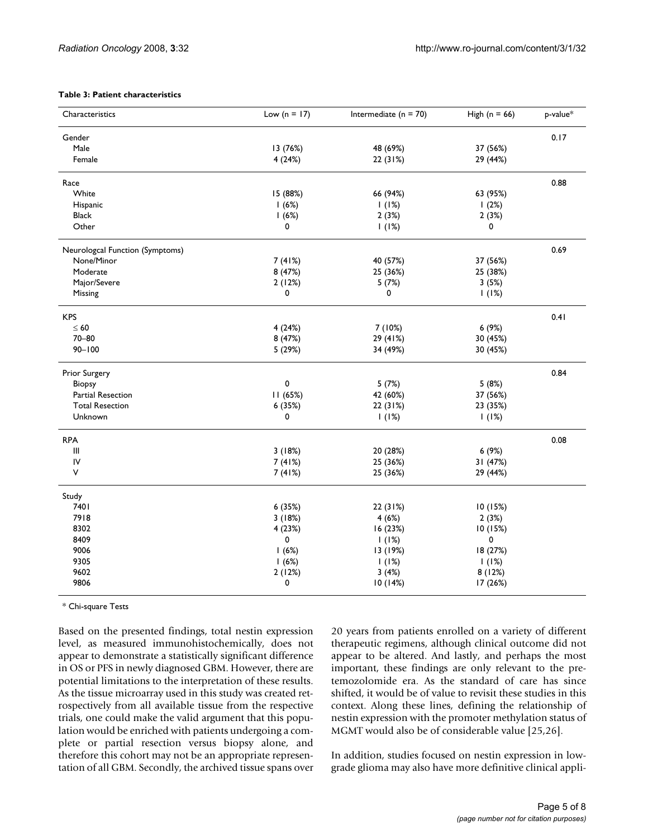#### **Table 3: Patient characteristics**

| Characteristics                 | Low ( $n = 17$ ) | Intermediate ( $n = 70$ ) | High $(n = 66)$ | p-value* |
|---------------------------------|------------------|---------------------------|-----------------|----------|
| Gender                          |                  |                           |                 | 0.17     |
| Male                            | 13 (76%)         | 48 (69%)                  | 37 (56%)        |          |
| Female                          | 4(24%)           | 22 (31%)                  | 29 (44%)        |          |
| Race                            |                  |                           |                 | 0.88     |
| White                           | 15 (88%)         | 66 (94%)                  | 63 (95%)        |          |
| Hispanic                        | 1(6%)            | 1(1%)                     | 1(2%)           |          |
| <b>Black</b>                    | 1(6%)            | 2(3%)                     | 2(3%)           |          |
| Other                           | 0                | 1(1%)                     | 0               |          |
| Neurologcal Function (Symptoms) |                  |                           |                 | 0.69     |
| None/Minor                      | 7(41%)           | 40 (57%)                  | 37 (56%)        |          |
| Moderate                        | 8 (47%)          | 25 (36%)                  | 25 (38%)        |          |
| Major/Severe                    | 2(12%)           | 5(7%)                     | 3(5%)           |          |
| Missing                         | 0                | 0                         | 1(1%)           |          |
| <b>KPS</b>                      |                  |                           |                 | 0.41     |
| $\leq 60$                       | 4(24%)           | 7(10%)                    | 6(9%)           |          |
| $70 - 80$                       | 8 (47%)          | 29 (41%)                  | 30 (45%)        |          |
| $90 - 100$                      | 5 (29%)          | 34 (49%)                  | 30 (45%)        |          |
| Prior Surgery                   |                  |                           |                 | 0.84     |
| <b>Biopsy</b>                   | 0                | 5(7%)                     | 5(8%)           |          |
| Partial Resection               | 11 (65%)         | 42 (60%)                  | 37 (56%)        |          |
| <b>Total Resection</b>          | 6 (35%)          | 22 (31%)                  | 23 (35%)        |          |
| Unknown                         | 0                | 1(1%)                     | 1(1%)           |          |
| <b>RPA</b>                      |                  |                           |                 | 0.08     |
| $\mathbf{III}$                  | 3(18%)           | 20 (28%)                  | 6(9%)           |          |
| IV                              | 7(41%)           | 25 (36%)                  | 31 (47%)        |          |
| ٧                               | 7(41%)           | 25 (36%)                  | 29 (44%)        |          |
| Study                           |                  |                           |                 |          |
| 7401                            | 6 (35%)          | 22 (31%)                  | 10(15%)         |          |
| 7918                            | 3(18%)           | 4(6%)                     | 2(3%)           |          |
| 8302                            | 4 (23%)          | 16 (23%)                  | 10 (15%)        |          |
| 8409                            | 0                | 1(1%)                     | 0               |          |
| 9006                            | 1(6%)            | 13 (19%)                  | 18 (27%)        |          |
| 9305                            | 1(6%)            | 1(1%)                     | 1(1%)           |          |
| 9602                            | 2(12%)           | 3(4%)                     | 8(12%)          |          |
| 9806                            | 0                | 10(14%)                   | 17 (26%)        |          |

\* Chi-square Tests

Based on the presented findings, total nestin expression level, as measured immunohistochemically, does not appear to demonstrate a statistically significant difference in OS or PFS in newly diagnosed GBM. However, there are potential limitations to the interpretation of these results. As the tissue microarray used in this study was created retrospectively from all available tissue from the respective trials, one could make the valid argument that this population would be enriched with patients undergoing a complete or partial resection versus biopsy alone, and therefore this cohort may not be an appropriate representation of all GBM. Secondly, the archived tissue spans over 20 years from patients enrolled on a variety of different therapeutic regimens, although clinical outcome did not appear to be altered. And lastly, and perhaps the most important, these findings are only relevant to the pretemozolomide era. As the standard of care has since shifted, it would be of value to revisit these studies in this context. Along these lines, defining the relationship of nestin expression with the promoter methylation status of MGMT would also be of considerable value [25,26].

In addition, studies focused on nestin expression in lowgrade glioma may also have more definitive clinical appli-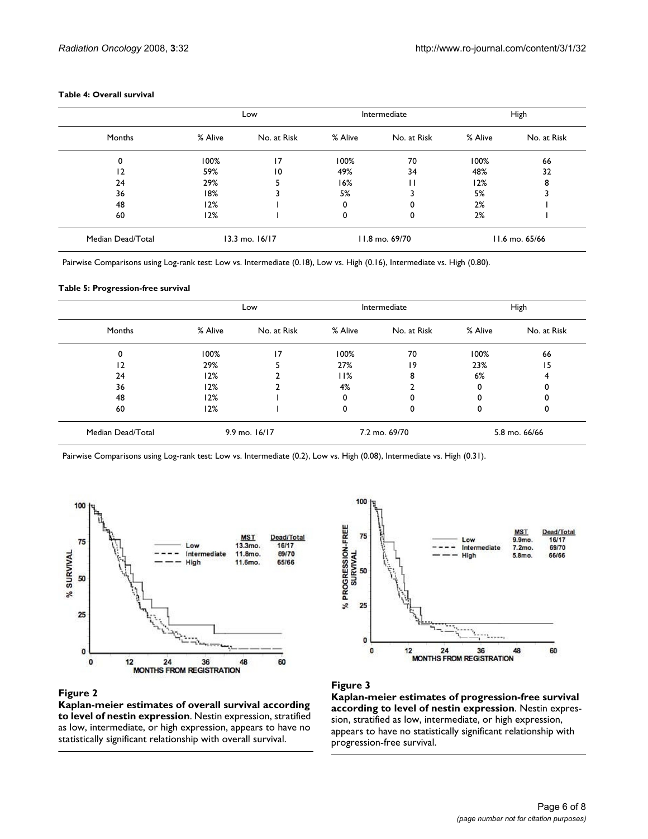| Table 4: Overall survival |  |
|---------------------------|--|
|---------------------------|--|

|                   | Low     |                    | Intermediate |                | High    |                |
|-------------------|---------|--------------------|--------------|----------------|---------|----------------|
| Months            | % Alive | No. at Risk        | % Alive      | No. at Risk    | % Alive | No. at Risk    |
| 0                 | 100%    | 17                 | 100%         | 70             | 100%    | 66             |
| 2                 | 59%     | 10                 | 49%          | 34             | 48%     | 32             |
| 24                | 29%     | 5                  | 16%          | п              | 12%     | 8              |
| 36                | 18%     |                    | 5%           |                | 5%      |                |
| 48                | 12%     |                    | 0            | 0              | 2%      |                |
| 60                | 12%     |                    | 0            | 0              | 2%      |                |
| Median Dead/Total |         | $13.3$ mo. $16/17$ |              | 11.8 mo. 69/70 |         | 11.6 mo. 65/66 |

Pairwise Comparisons using Log-rank test: Low vs. Intermediate (0.18), Low vs. High (0.16), Intermediate vs. High (0.80).

#### **Table 5: Progression-free survival**

|                                        | Low     |               | Intermediate |               | High    |             |
|----------------------------------------|---------|---------------|--------------|---------------|---------|-------------|
| Months                                 | % Alive | No. at Risk   | % Alive      | No. at Risk   | % Alive | No. at Risk |
| 0                                      | 100%    | 17            | 100%         | 70            | 100%    | 66          |
| 12                                     | 29%     |               | 27%          | 19            | 23%     | 15          |
| 24                                     | 12%     | n.            | 11%          | 8             | 6%      |             |
| 36                                     | 12%     |               | 4%           |               |         |             |
| 48                                     | 12%     |               | 0            | 0             |         |             |
| 60                                     | 12%     |               | 0            | 0             | 0       | 0           |
| $9.9$ mo. $16/17$<br>Median Dead/Total |         | 7.2 mo. 69/70 |              | 5.8 mo. 66/66 |         |             |

Pairwise Comparisons using Log-rank test: Low vs. Intermediate (0.2), Low vs. High (0.08), Intermediate vs. High (0.31).



### Figure 2

**Kaplan-meier estimates of overall survival according to level of nestin expression**. Nestin expression, stratified as low, intermediate, or high expression, appears to have no statistically significant relationship with overall survival.



## Figure 3

**Kaplan-meier estimates of progression-free survival according to level of nestin expression**. Nestin expression, stratified as low, intermediate, or high expression, appears to have no statistically significant relationship with progression-free survival.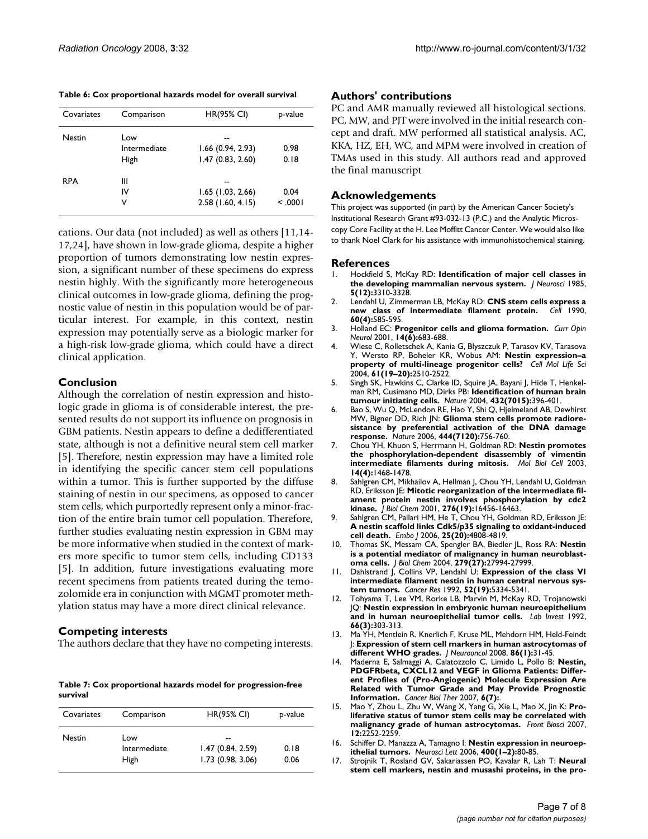|  |  |  | Table 6: Cox proportional hazards model for overall survival |  |  |
|--|--|--|--------------------------------------------------------------|--|--|
|--|--|--|--------------------------------------------------------------|--|--|

| Covariates    | Comparison   | <b>HR(95% CI)</b>   | p-value |
|---------------|--------------|---------------------|---------|
| <b>Nestin</b> | Low          |                     |         |
|               | Intermediate | $1.66$ (0.94, 2.93) | 0.98    |
|               | High         | 1.47(0.83, 2.60)    | 0.18    |
| <b>RPA</b>    | Ш            |                     |         |
|               | IV           | $1.65$ (1.03, 2.66) | 0.04    |
|               | V            | $2.58$ (1.60, 4.15) | < 0.001 |

cations. Our data (not included) as well as others [11,14- 17,24], have shown in low-grade glioma, despite a higher proportion of tumors demonstrating low nestin expression, a significant number of these specimens do express nestin highly. With the significantly more heterogeneous clinical outcomes in low-grade glioma, defining the prognostic value of nestin in this population would be of particular interest. For example, in this context, nestin expression may potentially serve as a biologic marker for a high-risk low-grade glioma, which could have a direct clinical application.

## **Conclusion**

Although the correlation of nestin expression and histologic grade in glioma is of considerable interest, the presented results do not support its influence on prognosis in GBM patients. Nestin appears to define a dedifferentiated state, although is not a definitive neural stem cell marker [5]. Therefore, nestin expression may have a limited role in identifying the specific cancer stem cell populations within a tumor. This is further supported by the diffuse staining of nestin in our specimens, as opposed to cancer stem cells, which purportedly represent only a minor-fraction of the entire brain tumor cell population. Therefore, further studies evaluating nestin expression in GBM may be more informative when studied in the context of markers more specific to tumor stem cells, including CD133 [5]. In addition, future investigations evaluating more recent specimens from patients treated during the temozolomide era in conjunction with MGMT promoter methylation status may have a more direct clinical relevance.

## **Competing interests**

The authors declare that they have no competing interests.

**Table 7: Cox proportional hazards model for progression-free survival**

| Covariates | Comparison                  | <b>HR(95% CI)</b>                          | p-value      |
|------------|-----------------------------|--------------------------------------------|--------------|
| Nestin     | Low<br>Intermediate<br>High | --<br>1.47(0.84, 2.59)<br>1.73(0.98, 3.06) | 0.18<br>0.06 |

## **Authors' contributions**

PC and AMR manually reviewed all histological sections. PC, MW, and PJT were involved in the initial research concept and draft. MW performed all statistical analysis. AC, KKA, HZ, EH, WC, and MPM were involved in creation of TMAs used in this study. All authors read and approved the final manuscript

## **Acknowledgements**

This project was supported (in part) by the American Cancer Society's Institutional Research Grant #93-032-13 (P.C.) and the Analytic Microscopy Core Facility at the H. Lee Moffitt Cancer Center. We would also like to thank Noel Clark for his assistance with immunohistochemical staining.

## **References**

- 1. Hockfield S, McKay RD: **[Identification of major cell classes in](http://www.ncbi.nlm.nih.gov/entrez/query.fcgi?cmd=Retrieve&db=PubMed&dopt=Abstract&list_uids=4078630) [the developing mammalian nervous system.](http://www.ncbi.nlm.nih.gov/entrez/query.fcgi?cmd=Retrieve&db=PubMed&dopt=Abstract&list_uids=4078630)** *J Neurosci* 1985, **5(12):**3310-3328.
- 2. Lendahl U, Zimmerman LB, McKay RD: **[CNS stem cells express a](http://www.ncbi.nlm.nih.gov/entrez/query.fcgi?cmd=Retrieve&db=PubMed&dopt=Abstract&list_uids=1689217) [new class of intermediate filament protein.](http://www.ncbi.nlm.nih.gov/entrez/query.fcgi?cmd=Retrieve&db=PubMed&dopt=Abstract&list_uids=1689217)** *Cell* 1990, **60(4):**585-595.
- 3. Holland EC: **[Progenitor cells and glioma formation.](http://www.ncbi.nlm.nih.gov/entrez/query.fcgi?cmd=Retrieve&db=PubMed&dopt=Abstract&list_uids=11723374)** *Curr Opin Neurol* 2001, **14(6):**683-688.
- 4. Wiese C, Rolletschek A, Kania G, Blyszczuk P, Tarasov KV, Tarasova Y, Wersto RP, Boheler KR, Wobus AM: **[Nestin expression–a](http://www.ncbi.nlm.nih.gov/entrez/query.fcgi?cmd=Retrieve&db=PubMed&dopt=Abstract&list_uids=15526158) [property of multi-lineage progenitor cells?](http://www.ncbi.nlm.nih.gov/entrez/query.fcgi?cmd=Retrieve&db=PubMed&dopt=Abstract&list_uids=15526158)** *Cell Mol Life Sci* 2004, **61(19–20):**2510-2522.
- 5. Singh SK, Hawkins C, Clarke ID, Squire JA, Bayani J, Hide T, Henkelman RM, Cusimano MD, Dirks PB: **[Identification of human brain](http://www.ncbi.nlm.nih.gov/entrez/query.fcgi?cmd=Retrieve&db=PubMed&dopt=Abstract&list_uids=15549107) [tumour initiating cells.](http://www.ncbi.nlm.nih.gov/entrez/query.fcgi?cmd=Retrieve&db=PubMed&dopt=Abstract&list_uids=15549107)** *Nature* 2004, **432(7015):**396-401.
- 6. Bao S, Wu Q, McLendon RE, Hao Y, Shi Q, Hjelmeland AB, Dewhirst MW, Bigner DD, Rich JN: **[Glioma stem cells promote radiore](http://www.ncbi.nlm.nih.gov/entrez/query.fcgi?cmd=Retrieve&db=PubMed&dopt=Abstract&list_uids=17051156)[sistance by preferential activation of the DNA damage](http://www.ncbi.nlm.nih.gov/entrez/query.fcgi?cmd=Retrieve&db=PubMed&dopt=Abstract&list_uids=17051156) [response.](http://www.ncbi.nlm.nih.gov/entrez/query.fcgi?cmd=Retrieve&db=PubMed&dopt=Abstract&list_uids=17051156)** *Nature* 2006, **444(7120):**756-760.
- 7. Chou YH, Khuon S, Herrmann H, Goldman RD: **[Nestin promotes](http://www.ncbi.nlm.nih.gov/entrez/query.fcgi?cmd=Retrieve&db=PubMed&dopt=Abstract&list_uids=12686602) [the phosphorylation-dependent disassembly of vimentin](http://www.ncbi.nlm.nih.gov/entrez/query.fcgi?cmd=Retrieve&db=PubMed&dopt=Abstract&list_uids=12686602) [intermediate filaments during mitosis.](http://www.ncbi.nlm.nih.gov/entrez/query.fcgi?cmd=Retrieve&db=PubMed&dopt=Abstract&list_uids=12686602)** *Mol Biol Cell* 2003, **14(4):**1468-1478.
- 8. Sahlgren CM, Mikhailov A, Hellman J, Chou YH, Lendahl U, Goldman RD, Eriksson JE: **[Mitotic reorganization of the intermediate fil](http://www.ncbi.nlm.nih.gov/entrez/query.fcgi?cmd=Retrieve&db=PubMed&dopt=Abstract&list_uids=11278541)[ament protein nestin involves phosphorylation by cdc2](http://www.ncbi.nlm.nih.gov/entrez/query.fcgi?cmd=Retrieve&db=PubMed&dopt=Abstract&list_uids=11278541) [kinase.](http://www.ncbi.nlm.nih.gov/entrez/query.fcgi?cmd=Retrieve&db=PubMed&dopt=Abstract&list_uids=11278541)** *J Biol Chem* 2001, **276(19):**16456-16463.
- 9. Sahlgren CM, Pallari HM, He T, Chou YH, Goldman RD, Eriksson JE: **[A nestin scaffold links Cdk5/p35 signaling to oxidant-induced](http://www.ncbi.nlm.nih.gov/entrez/query.fcgi?cmd=Retrieve&db=PubMed&dopt=Abstract&list_uids=17036052) [cell death.](http://www.ncbi.nlm.nih.gov/entrez/query.fcgi?cmd=Retrieve&db=PubMed&dopt=Abstract&list_uids=17036052)** *Embo J* 2006, **25(20):**4808-4819.
- 10. Thomas SK, Messam CA, Spengler BA, Biedler JL, Ross RA: **[Nestin](http://www.ncbi.nlm.nih.gov/entrez/query.fcgi?cmd=Retrieve&db=PubMed&dopt=Abstract&list_uids=15117961) [is a potential mediator of malignancy in human neuroblast](http://www.ncbi.nlm.nih.gov/entrez/query.fcgi?cmd=Retrieve&db=PubMed&dopt=Abstract&list_uids=15117961)[oma cells.](http://www.ncbi.nlm.nih.gov/entrez/query.fcgi?cmd=Retrieve&db=PubMed&dopt=Abstract&list_uids=15117961)** *J Biol Chem* 2004, **279(27):**27994-27999.
- 11. Dahlstrand J, Collins VP, Lendahl U: **[Expression of the class VI](http://www.ncbi.nlm.nih.gov/entrez/query.fcgi?cmd=Retrieve&db=PubMed&dopt=Abstract&list_uids=1382841) [intermediate filament nestin in human central nervous sys](http://www.ncbi.nlm.nih.gov/entrez/query.fcgi?cmd=Retrieve&db=PubMed&dopt=Abstract&list_uids=1382841)[tem tumors.](http://www.ncbi.nlm.nih.gov/entrez/query.fcgi?cmd=Retrieve&db=PubMed&dopt=Abstract&list_uids=1382841)** *Cancer Res* 1992, **52(19):**5334-5341.
- 12. Tohyama T, Lee VM, Rorke LB, Marvin M, McKay RD, Trojanowski JQ: **[Nestin expression in embryonic human neuroepithelium](http://www.ncbi.nlm.nih.gov/entrez/query.fcgi?cmd=Retrieve&db=PubMed&dopt=Abstract&list_uids=1538585) [and in human neuroepithelial tumor cells.](http://www.ncbi.nlm.nih.gov/entrez/query.fcgi?cmd=Retrieve&db=PubMed&dopt=Abstract&list_uids=1538585)** *Lab Invest* 1992, **66(3):**303-313.
- 13. Ma YH, Mentlein R, Knerlich F, Kruse ML, Mehdorn HM, Held-Feindt J: **[Expression of stem cell markers in human astrocytomas of](http://www.ncbi.nlm.nih.gov/entrez/query.fcgi?cmd=Retrieve&db=PubMed&dopt=Abstract&list_uids=17611714) [different WHO grades.](http://www.ncbi.nlm.nih.gov/entrez/query.fcgi?cmd=Retrieve&db=PubMed&dopt=Abstract&list_uids=17611714)** *J Neurooncol* 2008, **86(1):**31-45.
- 14. Maderna E, Salmaggi A, Calatozzolo C, Limido L, Pollo B: **[Nestin,](http://www.ncbi.nlm.nih.gov/entrez/query.fcgi?cmd=Retrieve&db=PubMed&dopt=Abstract&list_uids=17611402) PDGFRbeta, CXCL12 and VEGF in Glioma Patients: Differ[ent Profiles of \(Pro-Angiogenic\) Molecule Expression Are](http://www.ncbi.nlm.nih.gov/entrez/query.fcgi?cmd=Retrieve&db=PubMed&dopt=Abstract&list_uids=17611402) Related with Tumor Grade and May Provide Prognostic [Information.](http://www.ncbi.nlm.nih.gov/entrez/query.fcgi?cmd=Retrieve&db=PubMed&dopt=Abstract&list_uids=17611402)** *Cancer Biol Ther* 2007, **6(7):**.
- 15. Mao Y, Zhou L, Zhu W, Wang X, Yang G, Xie L, Mao X, Jin K: **[Pro](http://www.ncbi.nlm.nih.gov/entrez/query.fcgi?cmd=Retrieve&db=PubMed&dopt=Abstract&list_uids=17127461)[liferative status of tumor stem cells may be correlated with](http://www.ncbi.nlm.nih.gov/entrez/query.fcgi?cmd=Retrieve&db=PubMed&dopt=Abstract&list_uids=17127461) [malignancy grade of human astrocytomas.](http://www.ncbi.nlm.nih.gov/entrez/query.fcgi?cmd=Retrieve&db=PubMed&dopt=Abstract&list_uids=17127461)** *Front Biosci* 2007, **12:**2252-2259.
- 16. Schiffer D, Manazza A, Tamagno I: **[Nestin expression in neuroep](http://www.ncbi.nlm.nih.gov/entrez/query.fcgi?cmd=Retrieve&db=PubMed&dopt=Abstract&list_uids=16529857)[ithelial tumors.](http://www.ncbi.nlm.nih.gov/entrez/query.fcgi?cmd=Retrieve&db=PubMed&dopt=Abstract&list_uids=16529857)** *Neurosci Lett* 2006, **400(1–2):**80-85.
- 17. Strojnik T, Rosland GV, Sakariassen PO, Kavalar R, Lah T: **[Neural](http://www.ncbi.nlm.nih.gov/entrez/query.fcgi?cmd=Retrieve&db=PubMed&dopt=Abstract&list_uids=17537489) [stem cell markers, nestin and musashi proteins, in the pro](http://www.ncbi.nlm.nih.gov/entrez/query.fcgi?cmd=Retrieve&db=PubMed&dopt=Abstract&list_uids=17537489)-**